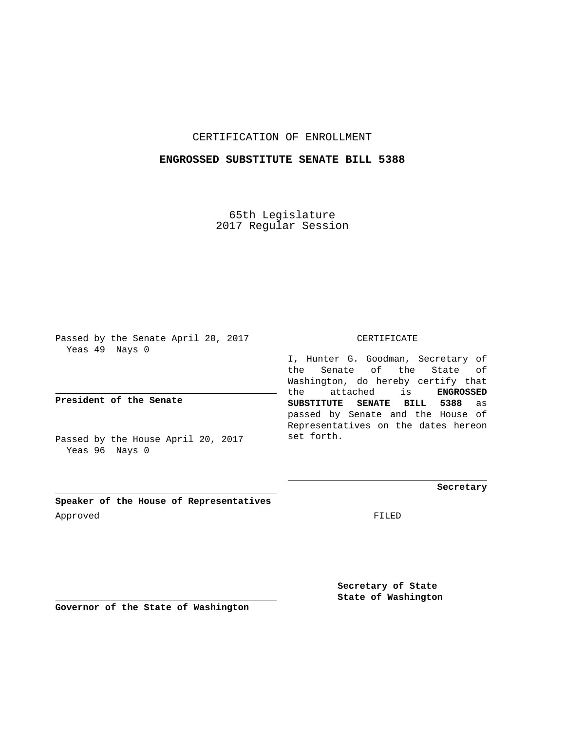## CERTIFICATION OF ENROLLMENT

### **ENGROSSED SUBSTITUTE SENATE BILL 5388**

65th Legislature 2017 Regular Session

Passed by the Senate April 20, 2017 Yeas 49 Nays 0

**President of the Senate**

Passed by the House April 20, 2017 Yeas 96 Nays 0

CERTIFICATE

I, Hunter G. Goodman, Secretary of the Senate of the State of Washington, do hereby certify that the attached is **ENGROSSED SUBSTITUTE SENATE BILL 5388** as passed by Senate and the House of Representatives on the dates hereon set forth.

**Secretary**

**Speaker of the House of Representatives** Approved FILED

**Secretary of State State of Washington**

**Governor of the State of Washington**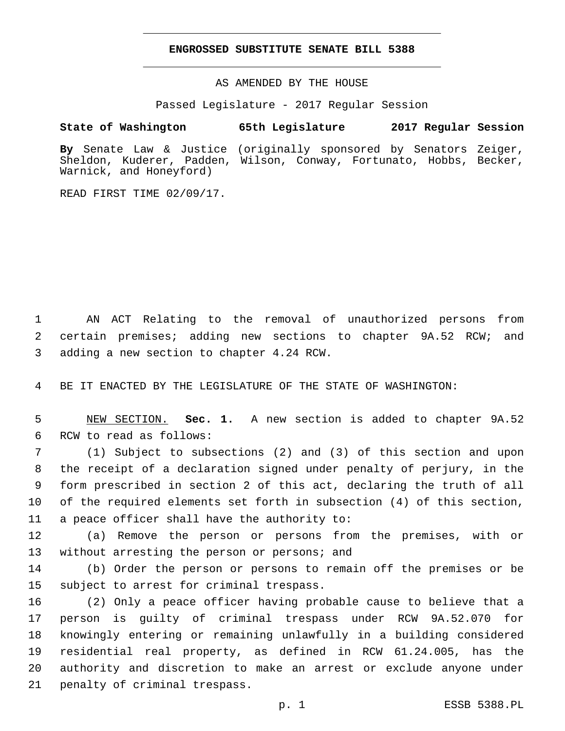#### **ENGROSSED SUBSTITUTE SENATE BILL 5388**

AS AMENDED BY THE HOUSE

Passed Legislature - 2017 Regular Session

# **State of Washington 65th Legislature 2017 Regular Session**

**By** Senate Law & Justice (originally sponsored by Senators Zeiger, Sheldon, Kuderer, Padden, Wilson, Conway, Fortunato, Hobbs, Becker, Warnick, and Honeyford)

READ FIRST TIME 02/09/17.

1 AN ACT Relating to the removal of unauthorized persons from 2 certain premises; adding new sections to chapter 9A.52 RCW; and 3 adding a new section to chapter 4.24 RCW.

4 BE IT ENACTED BY THE LEGISLATURE OF THE STATE OF WASHINGTON:

5 NEW SECTION. **Sec. 1.** A new section is added to chapter 9A.52 6 RCW to read as follows:

 (1) Subject to subsections (2) and (3) of this section and upon the receipt of a declaration signed under penalty of perjury, in the form prescribed in section 2 of this act, declaring the truth of all of the required elements set forth in subsection (4) of this section, a peace officer shall have the authority to:

12 (a) Remove the person or persons from the premises, with or 13 without arresting the person or persons; and

14 (b) Order the person or persons to remain off the premises or be 15 subject to arrest for criminal trespass.

 (2) Only a peace officer having probable cause to believe that a person is guilty of criminal trespass under RCW 9A.52.070 for knowingly entering or remaining unlawfully in a building considered residential real property, as defined in RCW 61.24.005, has the authority and discretion to make an arrest or exclude anyone under 21 penalty of criminal trespass.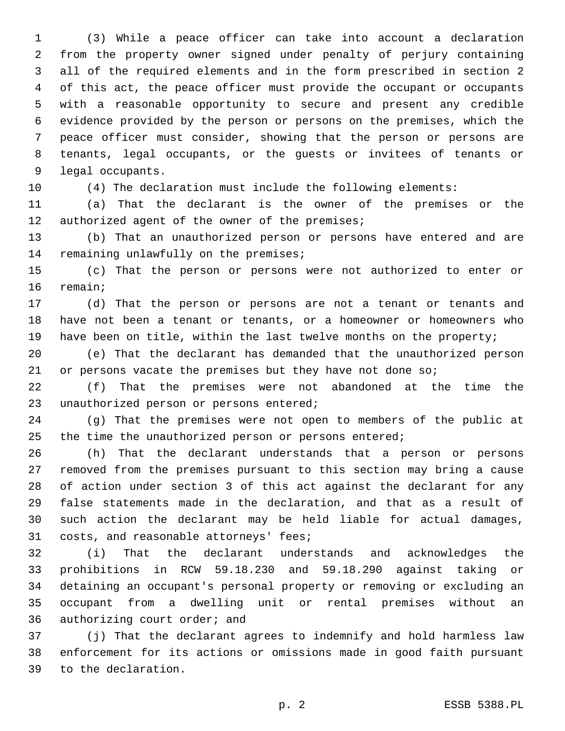(3) While a peace officer can take into account a declaration from the property owner signed under penalty of perjury containing all of the required elements and in the form prescribed in section 2 of this act, the peace officer must provide the occupant or occupants with a reasonable opportunity to secure and present any credible evidence provided by the person or persons on the premises, which the peace officer must consider, showing that the person or persons are tenants, legal occupants, or the guests or invitees of tenants or 9 legal occupants.

(4) The declaration must include the following elements:

 (a) That the declarant is the owner of the premises or the 12 authorized agent of the owner of the premises;

 (b) That an unauthorized person or persons have entered and are 14 remaining unlawfully on the premises;

 (c) That the person or persons were not authorized to enter or 16 remain;

 (d) That the person or persons are not a tenant or tenants and have not been a tenant or tenants, or a homeowner or homeowners who have been on title, within the last twelve months on the property;

 (e) That the declarant has demanded that the unauthorized person 21 or persons vacate the premises but they have not done so;

 (f) That the premises were not abandoned at the time the 23 unauthorized person or persons entered;

 (g) That the premises were not open to members of the public at 25 the time the unauthorized person or persons entered;

 (h) That the declarant understands that a person or persons removed from the premises pursuant to this section may bring a cause of action under section 3 of this act against the declarant for any false statements made in the declaration, and that as a result of such action the declarant may be held liable for actual damages, 31 costs, and reasonable attorneys' fees;

 (i) That the declarant understands and acknowledges the prohibitions in RCW 59.18.230 and 59.18.290 against taking or detaining an occupant's personal property or removing or excluding an occupant from a dwelling unit or rental premises without an 36 authorizing court order; and

 (j) That the declarant agrees to indemnify and hold harmless law enforcement for its actions or omissions made in good faith pursuant 39 to the declaration.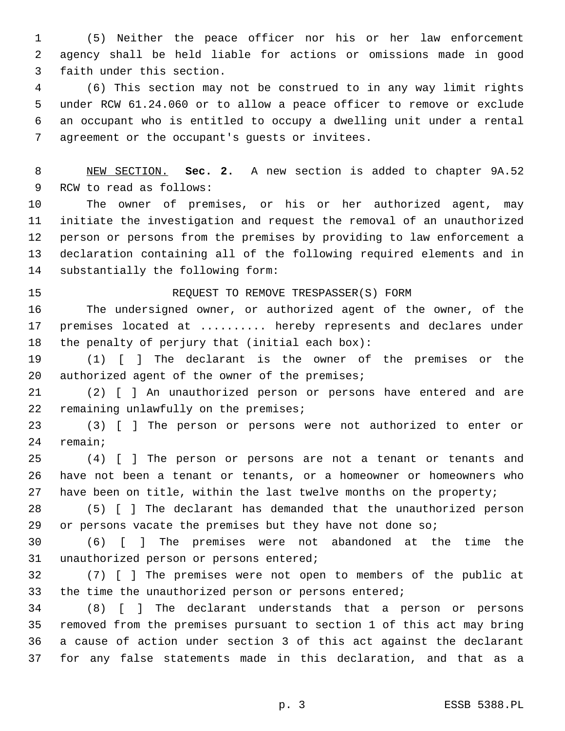(5) Neither the peace officer nor his or her law enforcement agency shall be held liable for actions or omissions made in good 3 faith under this section.

 (6) This section may not be construed to in any way limit rights under RCW 61.24.060 or to allow a peace officer to remove or exclude an occupant who is entitled to occupy a dwelling unit under a rental 7 agreement or the occupant's quests or invitees.

 NEW SECTION. **Sec. 2.** A new section is added to chapter 9A.52 9 RCW to read as follows:

 The owner of premises, or his or her authorized agent, may initiate the investigation and request the removal of an unauthorized person or persons from the premises by providing to law enforcement a declaration containing all of the following required elements and in 14 substantially the following form:

## REQUEST TO REMOVE TRESPASSER(S) FORM

 The undersigned owner, or authorized agent of the owner, of the 17 premises located at ......... hereby represents and declares under 18 the penalty of perjury that (initial each box):

 (1) [ ] The declarant is the owner of the premises or the 20 authorized agent of the owner of the premises;

 (2) [ ] An unauthorized person or persons have entered and are 22 remaining unlawfully on the premises;

 (3) [ ] The person or persons were not authorized to enter or 24 remain;

 (4) [ ] The person or persons are not a tenant or tenants and have not been a tenant or tenants, or a homeowner or homeowners who have been on title, within the last twelve months on the property;

 (5) [ ] The declarant has demanded that the unauthorized person 29 or persons vacate the premises but they have not done so;

 (6) [ ] The premises were not abandoned at the time the 31 unauthorized person or persons entered;

 (7) [ ] The premises were not open to members of the public at the time the unauthorized person or persons entered;

 (8) [ ] The declarant understands that a person or persons removed from the premises pursuant to section 1 of this act may bring a cause of action under section 3 of this act against the declarant for any false statements made in this declaration, and that as a